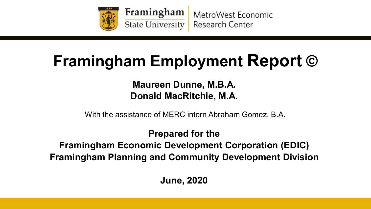

Framingham MetroWest Economic State University **Research Center** 

## **Framingham Employment Report ©**

**Maureen Dunne, M.B.A. Donald MacRitchie, M.A.**

With the assistance of MERC intern Abraham Gomez, B.A.

**Prepared for the Framingham Economic Development Corporation (EDIC) Framingham Planning and Community Development Division**

**June, 2020**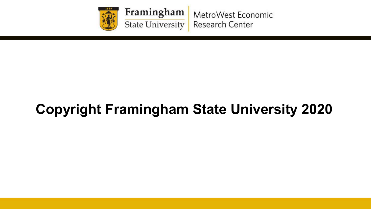

Framingham MetroWest Economic State University **Research Center** 

## **Copyright Framingham State University 2020**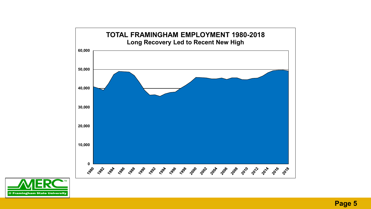

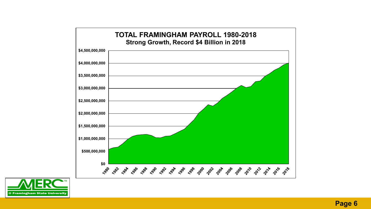

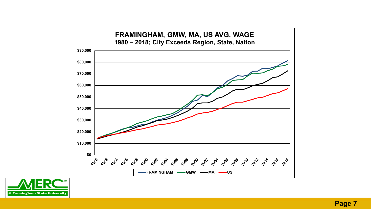

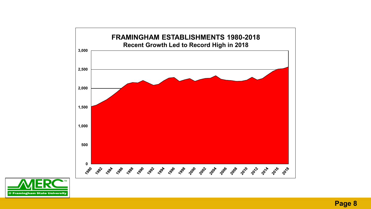

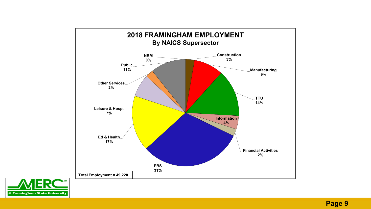

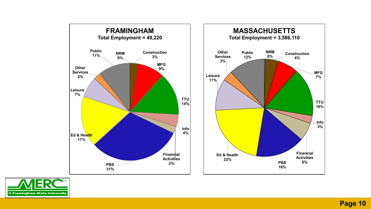

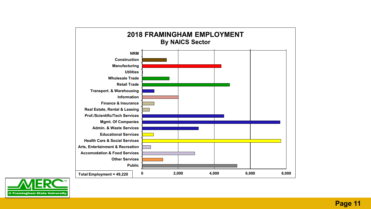

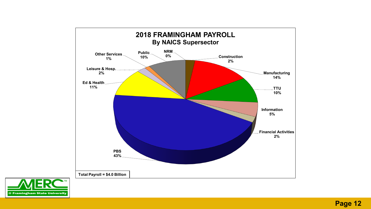

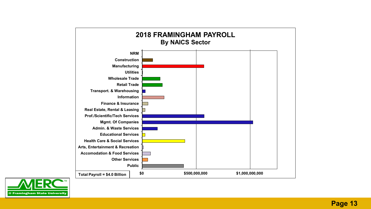

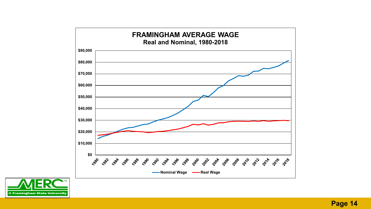

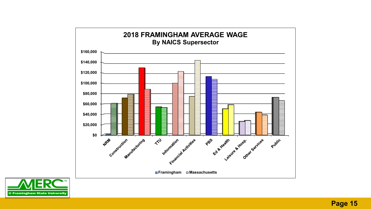

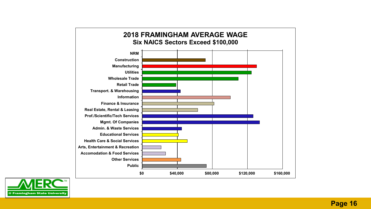

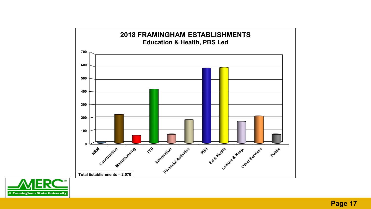

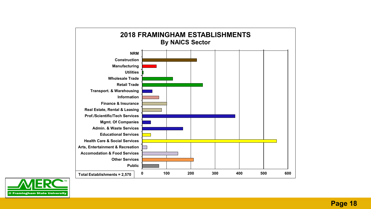

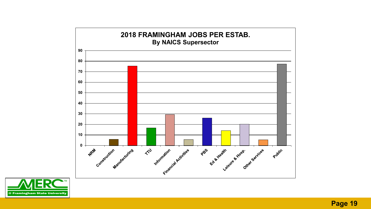

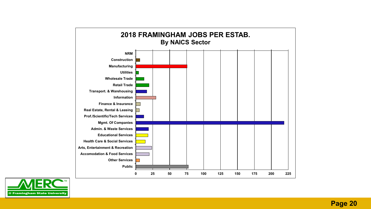

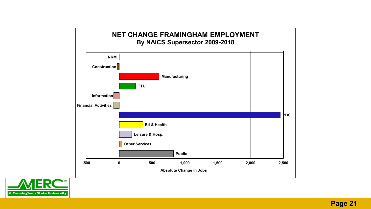

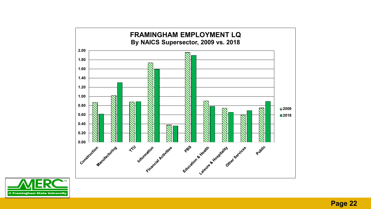

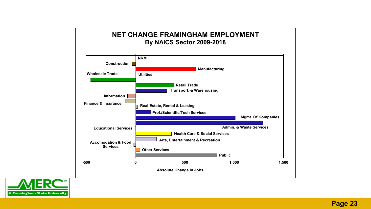

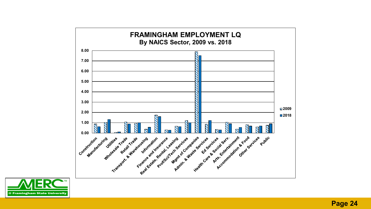

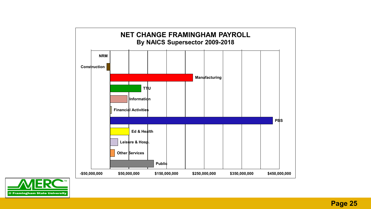

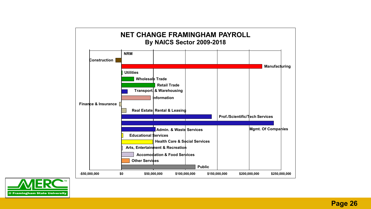

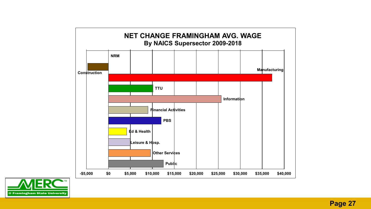

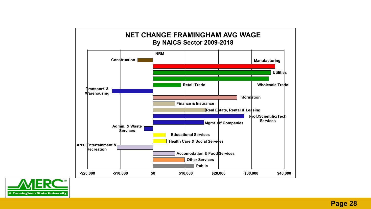

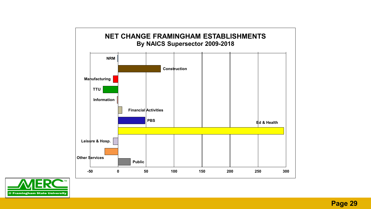

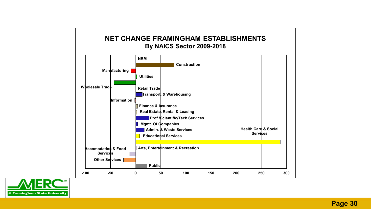

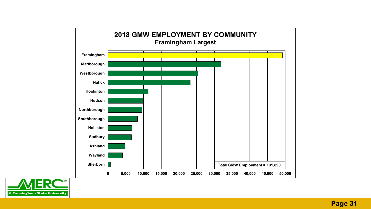

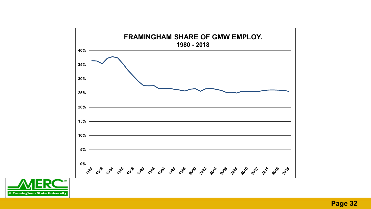

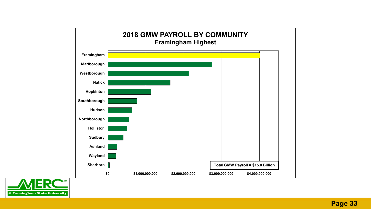

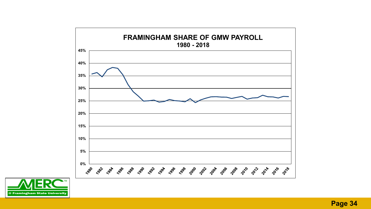

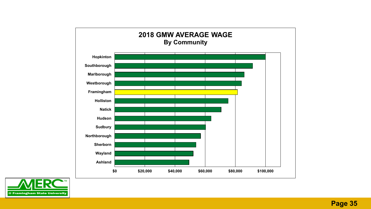

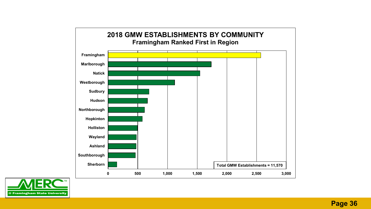